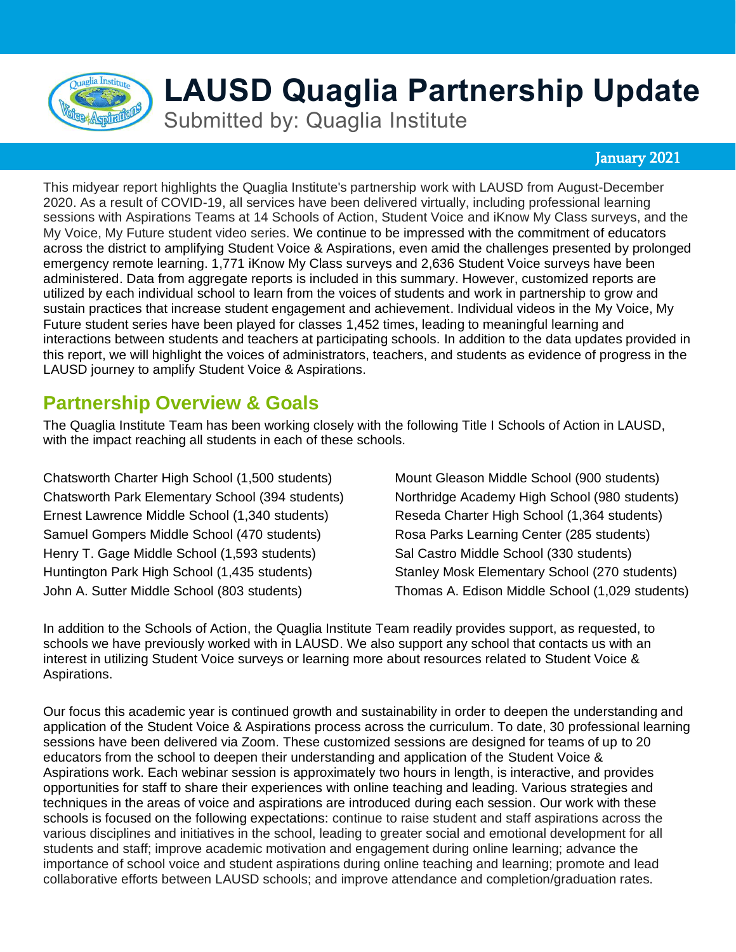

# **LAUSD Quaglia Partnership Update**

Submitted by: Quaglia Institute

### January 2021

This midyear report highlights the Quaglia Institute's partnership work with LAUSD from August-December 2020. As a result of COVID-19, all services have been delivered virtually, including professional learning sessions with Aspirations Teams at 14 Schools of Action, Student Voice and iKnow My Class surveys, and the My Voice, My Future student video series. We continue to be impressed with the commitment of educators across the district to amplifying Student Voice & Aspirations, even amid the challenges presented by prolonged emergency remote learning. 1,771 iKnow My Class surveys and 2,636 Student Voice surveys have been administered. Data from aggregate reports is included in this summary. However, customized reports are utilized by each individual school to learn from the voices of students and work in partnership to grow and sustain practices that increase student engagement and achievement. Individual videos in the My Voice, My Future student series have been played for classes 1,452 times, leading to meaningful learning and interactions between students and teachers at participating schools. In addition to the data updates provided in this report, we will highlight the voices of administrators, teachers, and students as evidence of progress in the LAUSD journey to amplify Student Voice & Aspirations.

### **Partnership Overview & Goals**

The Quaglia Institute Team has been working closely with the following Title I Schools of Action in LAUSD, with the impact reaching all students in each of these schools.

Chatsworth Charter High School (1,500 students) Chatsworth Park Elementary School (394 students) Ernest Lawrence Middle School (1,340 students) Samuel Gompers Middle School (470 students) Henry T. Gage Middle School (1,593 students) Huntington Park High School (1,435 students) John A. Sutter Middle School (803 students)

Mount Gleason Middle School (900 students) Northridge Academy High School (980 students) Reseda Charter High School (1,364 students) Rosa Parks Learning Center (285 students) Sal Castro Middle School (330 students) Stanley Mosk Elementary School (270 students) Thomas A. Edison Middle School (1,029 students)

In addition to the Schools of Action, the Quaglia Institute Team readily provides support, as requested, to schools we have previously worked with in LAUSD. We also support any school that contacts us with an interest in utilizing Student Voice surveys or learning more about resources related to Student Voice & Aspirations.

Our focus this academic year is continued growth and sustainability in order to deepen the understanding and application of the Student Voice & Aspirations process across the curriculum. To date, 30 professional learning sessions have been delivered via Zoom. These customized sessions are designed for teams of up to 20 educators from the school to deepen their understanding and application of the Student Voice & Aspirations work. Each webinar session is approximately two hours in length, is interactive, and provides opportunities for staff to share their experiences with online teaching and leading. Various strategies and techniques in the areas of voice and aspirations are introduced during each session. Our work with these schools is focused on the following expectations: continue to raise student and staff aspirations across the various disciplines and initiatives in the school, leading to greater social and emotional development for all students and staff; improve academic motivation and engagement during online learning; advance the importance of school voice and student aspirations during online teaching and learning; promote and lead collaborative efforts between LAUSD schools; and improve attendance and completion/graduation rates.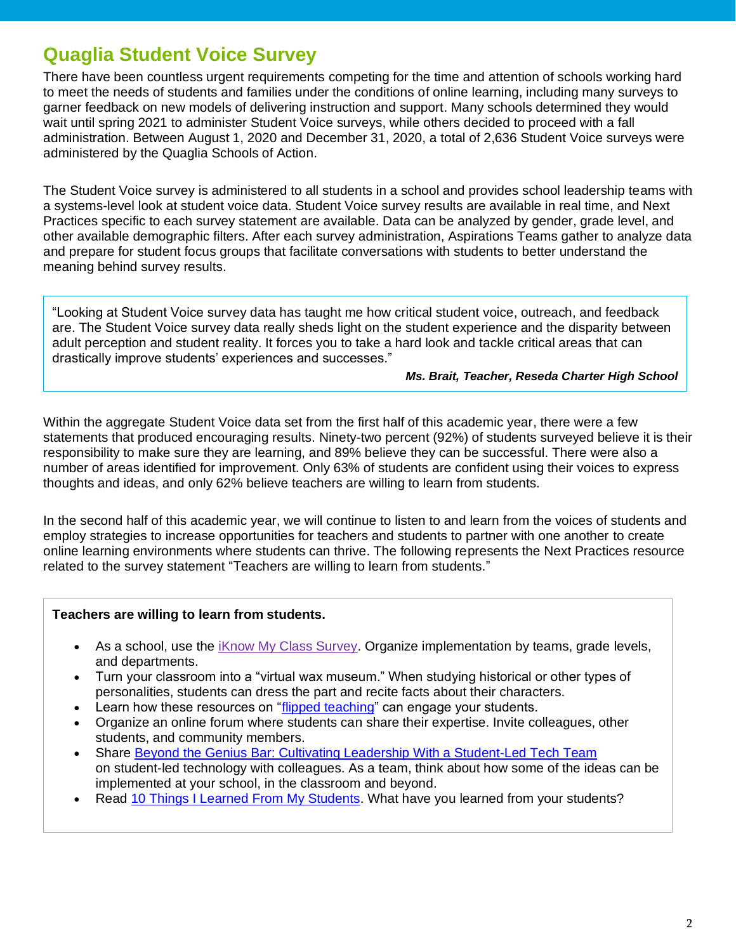## **Quaglia Student Voice Survey**

There have been countless urgent requirements competing for the time and attention of schools working hard to meet the needs of students and families under the conditions of online learning, including many surveys to garner feedback on new models of delivering instruction and support. Many schools determined they would wait until spring 2021 to administer Student Voice surveys, while others decided to proceed with a fall administration. Between August 1, 2020 and December 31, 2020, a total of 2,636 Student Voice surveys were administered by the Quaglia Schools of Action.

The Student Voice survey is administered to all students in a school and provides school leadership teams with a systems-level look at student voice data. Student Voice survey results are available in real time, and Next Practices specific to each survey statement are available. Data can be analyzed by gender, grade level, and other available demographic filters. After each survey administration, Aspirations Teams gather to analyze data and prepare for student focus groups that facilitate conversations with students to better understand the meaning behind survey results.

"Looking at Student Voice survey data has taught me how critical student voice, outreach, and feedback are. The Student Voice survey data really sheds light on the student experience and the disparity between adult perception and student reality. It forces you to take a hard look and tackle critical areas that can drastically improve students' experiences and successes."

### *Ms. Brait, Teacher, Reseda Charter High School*

Within the aggregate Student Voice data set from the first half of this academic year, there were a few statements that produced encouraging results. Ninety-two percent (92%) of students surveyed believe it is their responsibility to make sure they are learning, and 89% believe they can be successful. There were also a number of areas identified for improvement. Only 63% of students are confident using their voices to express thoughts and ideas, and only 62% believe teachers are willing to learn from students.

In the second half of this academic year, we will continue to listen to and learn from the voices of students and employ strategies to increase opportunities for teachers and students to partner with one another to create online learning environments where students can thrive. The following represents the Next Practices resource related to the survey statement "Teachers are willing to learn from students."

### **[Teachers are willing to learn from students.](javascript:loadQuestion(20070,%208);)**

- As a school, use the *iKnow My Class Survey.* Organize implementation by teams, grade levels, and departments.
- Turn your classroom into a "virtual wax museum." When studying historical or other types of personalities, students can dress the part and recite facts about their characters.
- Learn how these resources on ["flipped teaching"](http://corwin-connect.com/2015/01/flip-flipped-classroom/) can engage your students.
- Organize an online forum where students can share their expertise. Invite colleagues, other students, and community members.
- Share [Beyond the Genius Bar: Cultivating Leadership With a Student-Led Tech Team](https://www.edsurge.com/news/2016-07-17-beyond-the-genius-bar-cultivating-leadership-with-a-student-led-tech-team) on student-led technology with colleagues. As a team, think about how some of the ideas can be implemented at your school, in the classroom and beyond.
- Read [10 Things I Learned From My Students.](https://blog.teacherspayteachers.com/10-things-i-learned-from-my-students/) What have you learned from your students?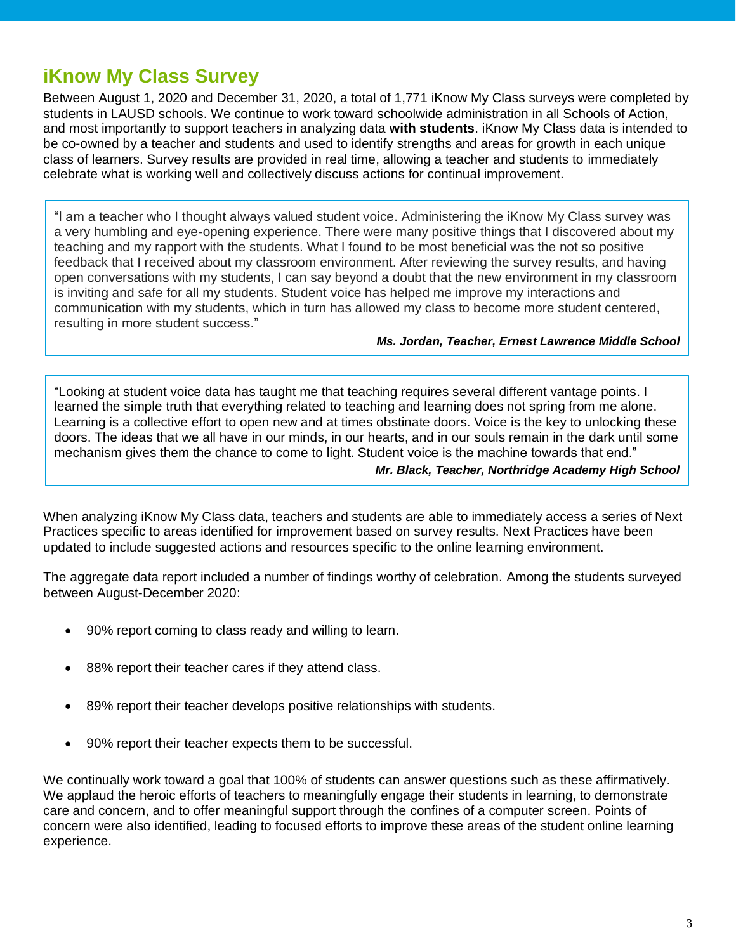## **iKnow My Class Survey**

Between August 1, 2020 and December 31, 2020, a total of 1,771 iKnow My Class surveys were completed by students in LAUSD schools. We continue to work toward schoolwide administration in all Schools of Action, and most importantly to support teachers in analyzing data **with students**. iKnow My Class data is intended to be co-owned by a teacher and students and used to identify strengths and areas for growth in each unique class of learners. Survey results are provided in real time, allowing a teacher and students to immediately celebrate what is working well and collectively discuss actions for continual improvement.

"I am a teacher who I thought always valued student voice. Administering the iKnow My Class survey was a very humbling and eye-opening experience. There were many positive things that I discovered about my teaching and my rapport with the students. What I found to be most beneficial was the not so positive feedback that I received about my classroom environment. After reviewing the survey results, and having open conversations with my students, I can say beyond a doubt that the new environment in my classroom is inviting and safe for all my students. Student voice has helped me improve my interactions and communication with my students, which in turn has allowed my class to become more student centered, resulting in more student success."

### *Ms. Jordan, Teacher, Ernest Lawrence Middle School*

"Looking at student voice data has taught me that teaching requires several different vantage points. I learned the simple truth that everything related to teaching and learning does not spring from me alone. Learning is a collective effort to open new and at times obstinate doors. Voice is the key to unlocking these doors. The ideas that we all have in our minds, in our hearts, and in our souls remain in the dark until some mechanism gives them the chance to come to light. Student voice is the machine towards that end." *Mr. Black, Teacher, Northridge Academy High School*

When analyzing iKnow My Class data, teachers and students are able to immediately access a series of Next Practices specific to areas identified for improvement based on survey results. Next Practices have been updated to include suggested actions and resources specific to the online learning environment.

The aggregate data report included a number of findings worthy of celebration. Among the students surveyed between August-December 2020:

- 90% report coming to class ready and willing to learn.
- 88% report their teacher cares if they attend class.
- 89% report their teacher develops positive relationships with students.
- 90% report their teacher expects them to be successful.

We continually work toward a goal that 100% of students can answer questions such as these affirmatively. We applaud the heroic efforts of teachers to meaningfully engage their students in learning, to demonstrate care and concern, and to offer meaningful support through the confines of a computer screen. Points of concern were also identified, leading to focused efforts to improve these areas of the student online learning experience.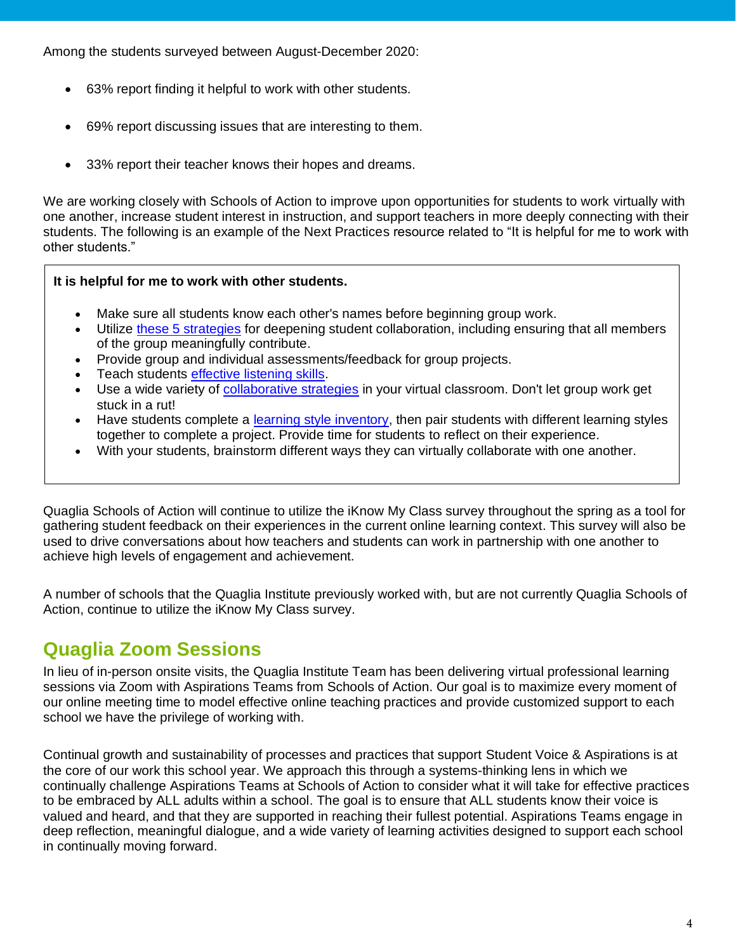Among the students surveyed between August-December 2020:

- 63% report finding it helpful to work with other students.
- 69% report discussing issues that are interesting to them.
- 33% report their teacher knows their hopes and dreams.

We are working closely with Schools of Action to improve upon opportunities for students to work virtually with one another, increase student interest in instruction, and support teachers in more deeply connecting with their students. The following is an example of the Next Practices resource related to "It is helpful for me to work with other students."

### **[It is helpful for me to work with other students.](javascript:loadQuestion(121,%204);)**

- Make sure all students know each other's names before beginning group work.
- Utilize [these 5 strategies](https://www.edutopia.org/article/5-strategies-deepen-student-collaboration-mary-burns) for deepening student collaboration, including ensuring that all members of the group meaningfully contribute.
- Provide group and individual assessments/feedback for group projects.
- Teach students [effective listening skills.](http://busyteacher.org/14411-how-to-teach-listening-skills-best-practices.html)
- Use a wide variety of [collaborative strategies](https://www.eduflow.com/blog/online-collaborative-learning-strategies-to-keep-students-engaged-while-at-home) in your virtual classroom. Don't let group work get stuck in a rut!
- Have students complete a [learning style inventory,](http://www.educationplanner.org/students/self-assessments/learning-styles.shtml) then pair students with different learning styles together to complete a project. Provide time for students to reflect on their experience.
- With your students, brainstorm different ways they can virtually collaborate with one another.

Quaglia Schools of Action will continue to utilize the iKnow My Class survey throughout the spring as a tool for gathering student feedback on their experiences in the current online learning context. This survey will also be used to drive conversations about how teachers and students can work in partnership with one another to achieve high levels of engagement and achievement.

A number of schools that the Quaglia Institute previously worked with, but are not currently Quaglia Schools of Action, continue to utilize the iKnow My Class survey.

## **Quaglia Zoom Sessions**

In lieu of in-person onsite visits, the Quaglia Institute Team has been delivering virtual professional learning sessions via Zoom with Aspirations Teams from Schools of Action. Our goal is to maximize every moment of our online meeting time to model effective online teaching practices and provide customized support to each school we have the privilege of working with.

Continual growth and sustainability of processes and practices that support Student Voice & Aspirations is at the core of our work this school year. We approach this through a systems-thinking lens in which we continually challenge Aspirations Teams at Schools of Action to consider what it will take for effective practices to be embraced by ALL adults within a school. The goal is to ensure that ALL students know their voice is valued and heard, and that they are supported in reaching their fullest potential. Aspirations Teams engage in deep reflection, meaningful dialogue, and a wide variety of learning activities designed to support each school in continually moving forward.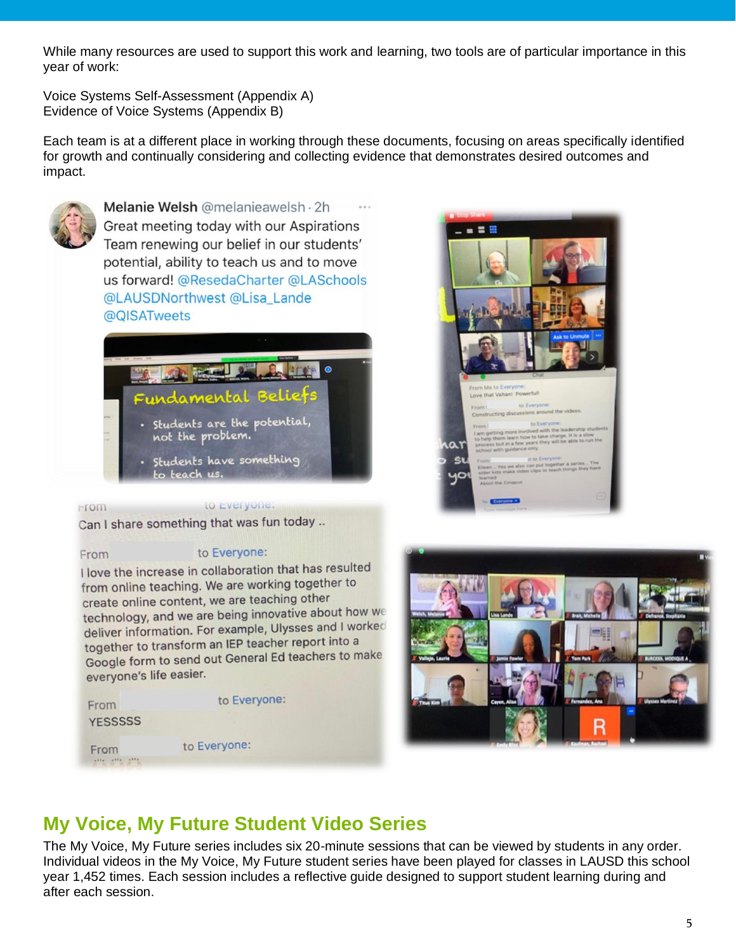While many resources are used to support this work and learning, two tools are of particular importance in this year of work:

Voice Systems Self-Assessment (Appendix A) Evidence of Voice Systems (Appendix B)

Each team is at a different place in working through these documents, focusing on areas specifically identified for growth and continually considering and collecting evidence that demonstrates desired outcomes and impact.



Melanie Welsh @melanieawelsh · 2h Great meeting today with our Aspirations Team renewing our belief in our students' potential, ability to teach us and to move us forward! @ResedaCharter @LASchools @LAUSDNorthwest @Lisa\_Lande @QISATweets



- Students are the potential, not the problem.
- Students have something to teach us.

to Everyone:

۵۱



## Can I share something that was fun today ..

### From

**From** 

### to Everyone:

I love the increase in collaboration that has resulted from online teaching. We are working together to create online content, we are teaching other technology, and we are being innovative about how we deliver information. For example, Ulysses and I worked together to transform an IEP teacher report into a Google form to send out General Ed teachers to make everyone's life easier.

e:

| From            | to Everyor   |
|-----------------|--------------|
| <b>YESSSSSS</b> |              |
| From            | to Everyone: |
|                 |              |

## **My Voice, My Future Student Video Series**

The My Voice, My Future series includes six 20-minute sessions that can be viewed by students in any order. Individual videos in the My Voice, My Future student series have been played for classes in LAUSD this school year 1,452 times. Each session includes a reflective guide designed to support student learning during and after each session.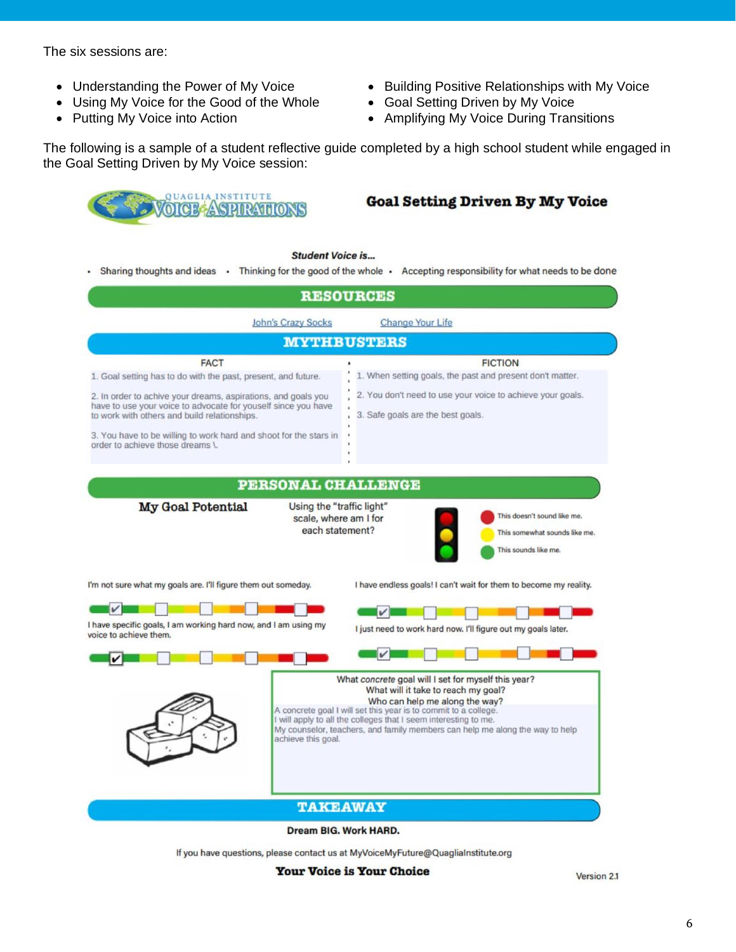The six sessions are:

- Understanding the Power of My Voice
- Using My Voice for the Good of the Whole
- Putting My Voice into Action
- Building Positive Relationships with My Voice
- Goal Setting Driven by My Voice
- Amplifying My Voice During Transitions

The following is a sample of a student reflective guide completed by a high school student while engaged in the Goal Setting Driven by My Voice session:



### **Goal Setting Driven By My Voice**

#### **Student Voice is...**

- Sharing thoughts and ideas - Thinking for the good of the whole - Accepting responsibility for what needs to be done



Dream BIG. Work HARD.

If you have questions, please contact us at MyVoiceMyFuture@QuagliaInstitute.org

**Your Voice is Your Choice** 

Version 2.1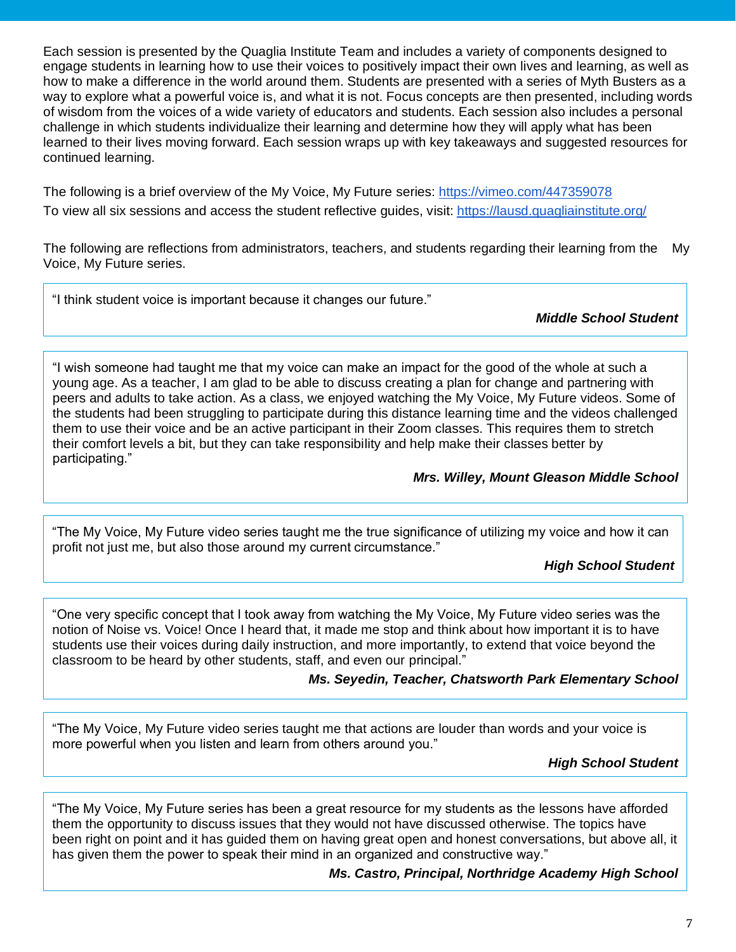Each session is presented by the Quaglia Institute Team and includes a variety of components designed to engage students in learning how to use their voices to positively impact their own lives and learning, as well as how to make a difference in the world around them. Students are presented with a series of Myth Busters as a way to explore what a powerful voice is, and what it is not. Focus concepts are then presented, including words of wisdom from the voices of a wide variety of educators and students. Each session also includes a personal challenge in which students individualize their learning and determine how they will apply what has been learned to their lives moving forward. Each session wraps up with key takeaways and suggested resources for continued learning.

The following is a brief overview of the My Voice, My Future series:<https://vimeo.com/447359078> To view all six sessions and access the student reflective guides, visit:<https://lausd.quagliainstitute.org/>

The following are reflections from administrators, teachers, and students regarding their learning from the My Voice, My Future series.

"I think student voice is important because it changes our future."

*Middle School Student*

"I wish someone had taught me that my voice can make an impact for the good of the whole at such a young age. As a teacher, I am glad to be able to discuss creating a plan for change and partnering with peers and adults to take action. As a class, we enjoyed watching the My Voice, My Future videos. Some of the students had been struggling to participate during this distance learning time and the videos challenged them to use their voice and be an active participant in their Zoom classes. This requires them to stretch their comfort levels a bit, but they can take responsibility and help make their classes better by participating."

*Mrs. Willey, Mount Gleason Middle School*

"The My Voice, My Future video series taught me the true significance of utilizing my voice and how it can profit not just me, but also those around my current circumstance."

*High School Student*

"One very specific concept that I took away from watching the My Voice, My Future video series was the notion of Noise vs. Voice! Once I heard that, it made me stop and think about how important it is to have students use their voices during daily instruction, and more importantly, to extend that voice beyond the classroom to be heard by other students, staff, and even our principal."

### *Ms. Seyedin, Teacher, Chatsworth Park Elementary School*

"The My Voice, My Future video series taught me that actions are louder than words and your voice is more powerful when you listen and learn from others around you."

*High School Student*

"The My Voice, My Future series has been a great resource for my students as the lessons have afforded them the opportunity to discuss issues that they would not have discussed otherwise. The topics have been right on point and it has guided them on having great open and honest conversations, but above all, it has given them the power to speak their mind in an organized and constructive way."

*Ms. Castro, Principal, Northridge Academy High School*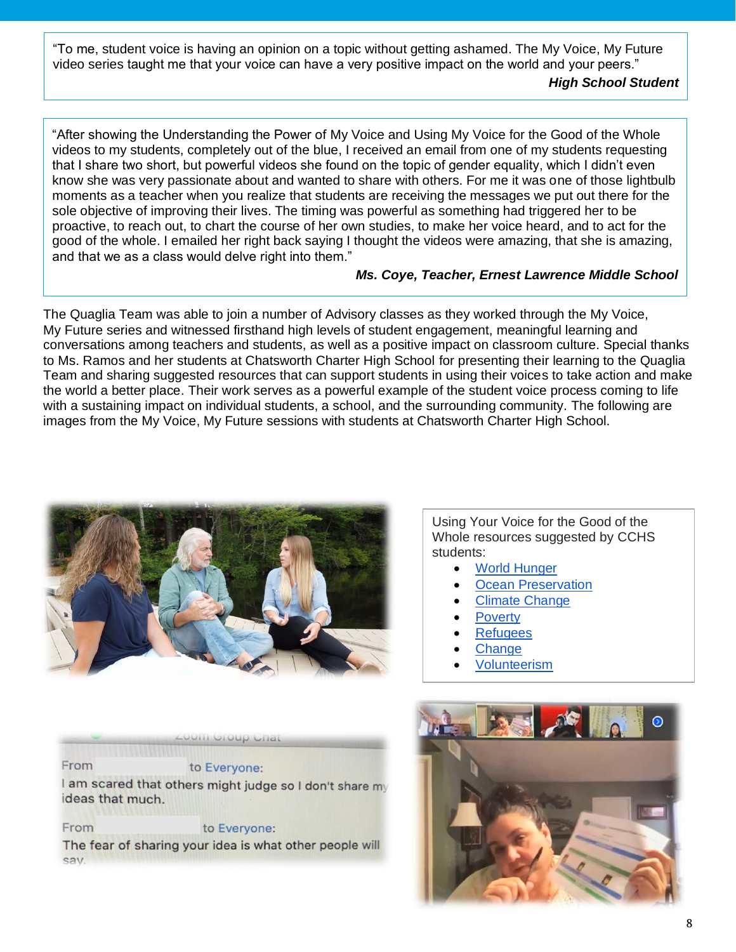"To me, student voice is having an opinion on a topic without getting ashamed. The My Voice, My Future video series taught me that your voice can have a very positive impact on the world and your peers."

### *High School Student*

"After showing the Understanding the Power of My Voice and Using My Voice for the Good of the Whole videos to my students, completely out of the blue, I received an email from one of my students requesting that I share two short, but powerful videos she found on the topic of gender equality, which I didn't even know she was very passionate about and wanted to share with others. For me it was one of those lightbulb moments as a teacher when you realize that students are receiving the messages we put out there for the sole objective of improving their lives. The timing was powerful as something had triggered her to be proactive, to reach out, to chart the course of her own studies, to make her voice heard, and to act for the good of the whole. I emailed her right back saying I thought the videos were amazing, that she is amazing, and that we as a class would delve right into them."

### *Ms. Coye, Teacher, Ernest Lawrence Middle School*

The Quaglia Team was able to join a number of Advisory classes as they worked through the My Voice, My Future series and witnessed firsthand high levels of student engagement, meaningful learning and conversations among teachers and students, as well as a positive impact on classroom culture. Special thanks to Ms. Ramos and her students at Chatsworth Charter High School for presenting their learning to the Quaglia Team and sharing suggested resources that can support students in using their voices to take action and make the world a better place. Their work serves as a powerful example of the student voice process coming to life with a sustaining impact on individual students, a school, and the surrounding community. The following are images from the My Voice, My Future sessions with students at Chatsworth Charter High School.



Using Your Voice for the Good of the Whole resources suggested by CCHS students:

- **World Hunger**
- **[Ocean Preservation](https://www.surfrider.org/)**
- **[Climate Change](https://fridaysforfuture.org/)**
- **[Poverty](https://www.oxfamamerica.org/)**
- [Refugees](https://care.org/)
- **[Change](https://www.change.org/)**
- [Volunteerism](https://www.helpguide.org/articles/healthy-living/volunteering-and-its-surprising-benefits.htm)



From The fear of sharing your idea is what other people will sav.